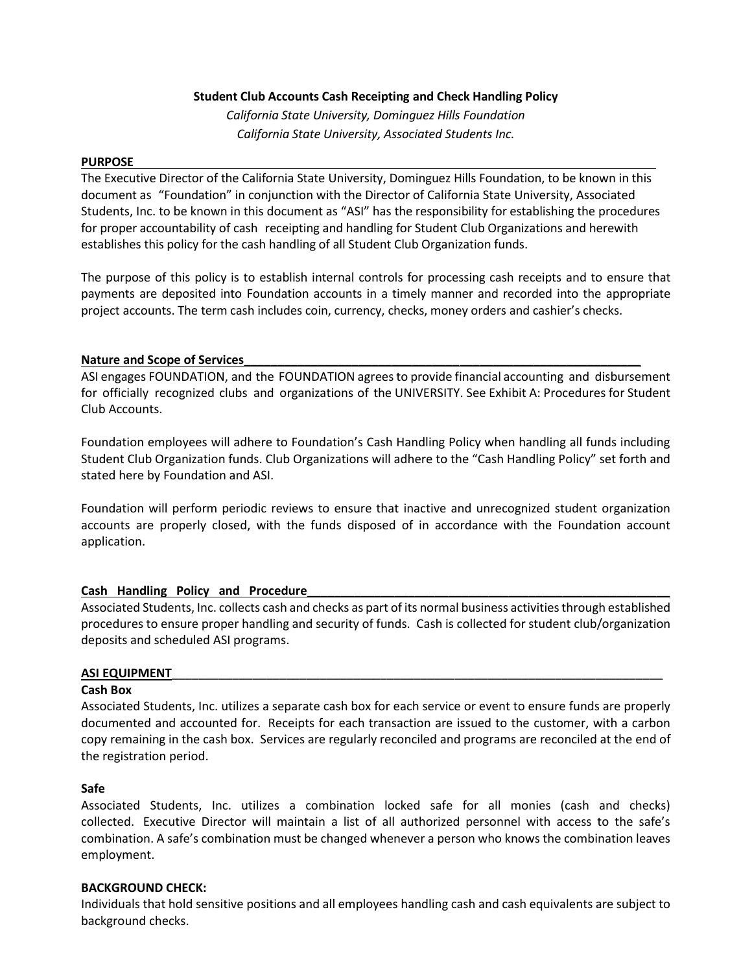#### **Student Club Accounts Cash Receipting and Check Handling Policy**

*California State University, Dominguez Hills Foundation California State University, Associated Students Inc.*

#### **PURPOSE**

The Executive Director of the California State University, Dominguez Hills Foundation, to be known in this document as "Foundation" in conjunction with the Director of California State University, Associated Students, Inc. to be known in this document as "ASI" has the responsibility for establishing the procedures for proper accountability of cash receipting and handling for Student Club Organizations and herewith establishes this policy for the cash handling of all Student Club Organization funds.

The purpose of this policy is to establish internal controls for processing cash receipts and to ensure that payments are deposited into Foundation accounts in a timely manner and recorded into the appropriate project accounts. The term cash includes coin, currency, checks, money orders and cashier's checks.

#### Nature and Scope of Services

ASI engages FOUNDATION, and the FOUNDATION agrees to provide financial accounting and disbursement for officially recognized clubs and organizations of the UNIVERSITY. See Exhibit A: Procedures for Student Club Accounts.

Foundation employees will adhere to Foundation's Cash Handling Policy when handling all funds including Student Club Organization funds. Club Organizations will adhere to the "Cash Handling Policy" set forth and stated here by Foundation and ASI.

Foundation will perform periodic reviews to ensure that inactive and unrecognized student organization accounts are properly closed, with the funds disposed of in accordance with the Foundation account application.

# **Cash Handling Policy and Procedure\_\_\_\_\_\_\_\_\_\_\_\_\_\_\_\_\_\_\_\_\_\_\_\_\_\_\_\_\_\_\_\_\_\_\_\_\_\_\_\_\_\_\_\_\_\_\_\_\_\_\_\_\_\_**

Associated Students, Inc. collects cash and checks as part of its normal business activities through established procedures to ensure proper handling and security of funds. Cash is collected for student club/organization deposits and scheduled ASI programs.

#### **ASI EQUIPMENT**\_\_\_\_\_\_\_\_\_\_\_\_\_\_\_\_\_\_\_\_\_\_\_\_\_\_\_\_\_\_\_\_\_\_\_\_\_\_\_\_\_\_\_\_\_\_\_\_\_\_\_\_\_\_\_\_\_\_\_\_\_\_\_\_\_\_\_\_\_\_\_\_\_

#### **Cash Box**

Associated Students, Inc. utilizes a separate cash box for each service or event to ensure funds are properly documented and accounted for. Receipts for each transaction are issued to the customer, with a carbon copy remaining in the cash box. Services are regularly reconciled and programs are reconciled at the end of the registration period.

#### **Safe**

Associated Students, Inc. utilizes a combination locked safe for all monies (cash and checks) collected. Executive Director will maintain a list of all authorized personnel with access to the safe's combination. A safe's combination must be changed whenever a person who knows the combination leaves employment.

#### **BACKGROUND CHECK:**

Individuals that hold sensitive positions and all employees handling cash and cash equivalents are subject to background checks.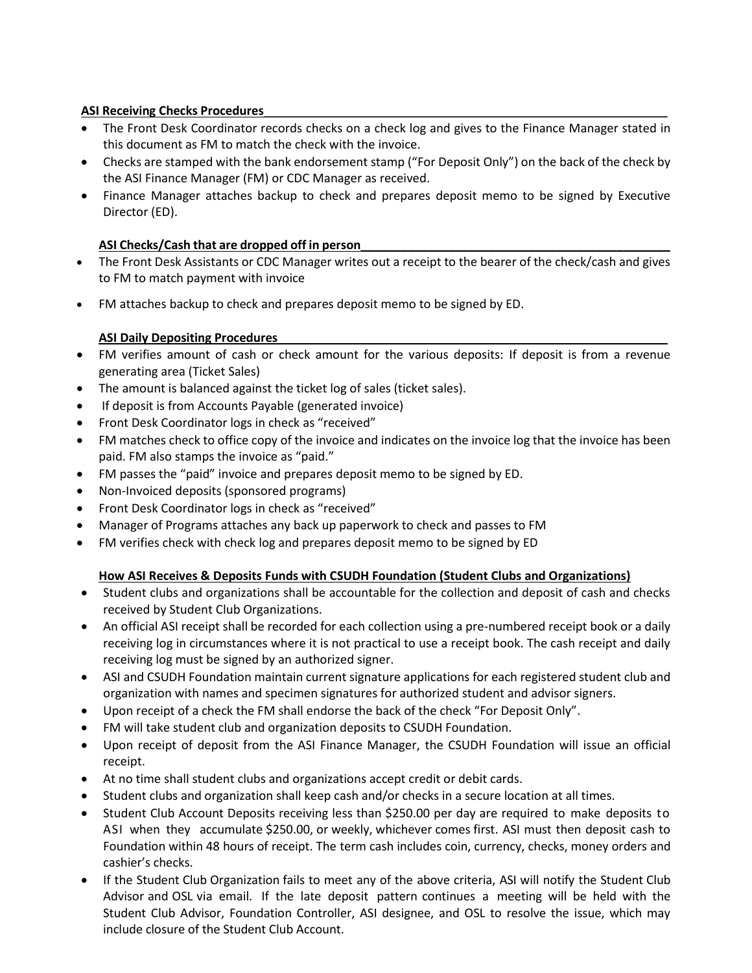## **ASI Receiving Checks Procedures**

- The Front Desk Coordinator records checks on a check log and gives to the Finance Manager stated in this document as FM to match the check with the invoice.
- Checks are stamped with the bank endorsement stamp ("For Deposit Only") on the back of the check by the ASI Finance Manager (FM) or CDC Manager as received.
- Finance Manager attaches backup to check and prepares deposit memo to be signed by Executive Director (ED).

# **ASI Checks/Cash that are dropped off in person\_\_\_\_\_\_\_\_\_\_\_\_\_\_\_\_\_\_\_\_\_\_\_\_\_\_\_\_\_\_\_\_\_\_\_\_\_\_\_\_\_\_\_\_\_\_**

- The Front Desk Assistants or CDC Manager writes out a receipt to the bearer of the check/cash and gives to FM to match payment with invoice
- FM attaches backup to check and prepares deposit memo to be signed by ED.

# **ASI Daily Depositing Procedures**

- FM verifies amount of cash or check amount for the various deposits: If deposit is from a revenue generating area (Ticket Sales)
- The amount is balanced against the ticket log of sales (ticket sales).
- If deposit is from Accounts Payable (generated invoice)
- Front Desk Coordinator logs in check as "received"
- FM matches check to office copy of the invoice and indicates on the invoice log that the invoice has been paid. FM also stamps the invoice as "paid."
- FM passes the "paid" invoice and prepares deposit memo to be signed by ED.
- Non-Invoiced deposits (sponsored programs)
- Front Desk Coordinator logs in check as "received"
- Manager of Programs attaches any back up paperwork to check and passes to FM
- FM verifies check with check log and prepares deposit memo to be signed by ED

# **How ASI Receives & Deposits Funds with CSUDH Foundation (Student Clubs and Organizations)**

- Student clubs and organizations shall be accountable for the collection and deposit of cash and checks received by Student Club Organizations.
- An official ASI receipt shall be recorded for each collection using a pre-numbered receipt book or a daily receiving log in circumstances where it is not practical to use a receipt book. The cash receipt and daily receiving log must be signed by an authorized signer.
- ASI and CSUDH Foundation maintain current signature applications for each registered student club and organization with names and specimen signatures for authorized student and advisor signers.
- Upon receipt of a check the FM shall endorse the back of the check "For Deposit Only".
- FM will take student club and organization deposits to CSUDH Foundation.
- Upon receipt of deposit from the ASI Finance Manager, the CSUDH Foundation will issue an official receipt.
- At no time shall student clubs and organizations accept credit or debit cards.
- Student clubs and organization shall keep cash and/or checks in a secure location at all times.
- Student Club Account Deposits receiving less than \$250.00 per day are required to make deposits to ASI when they accumulate \$250.00, or weekly, whichever comes first. ASI must then deposit cash to Foundation within 48 hours of receipt. The term cash includes coin, currency, checks, money orders and cashier's checks.
- If the Student Club Organization fails to meet any of the above criteria, ASI will notify the Student Club Advisor and OSL via email. If the late deposit pattern continues a meeting will be held with the Student Club Advisor, Foundation Controller, ASI designee, and OSL to resolve the issue, which may include closure of the Student Club Account.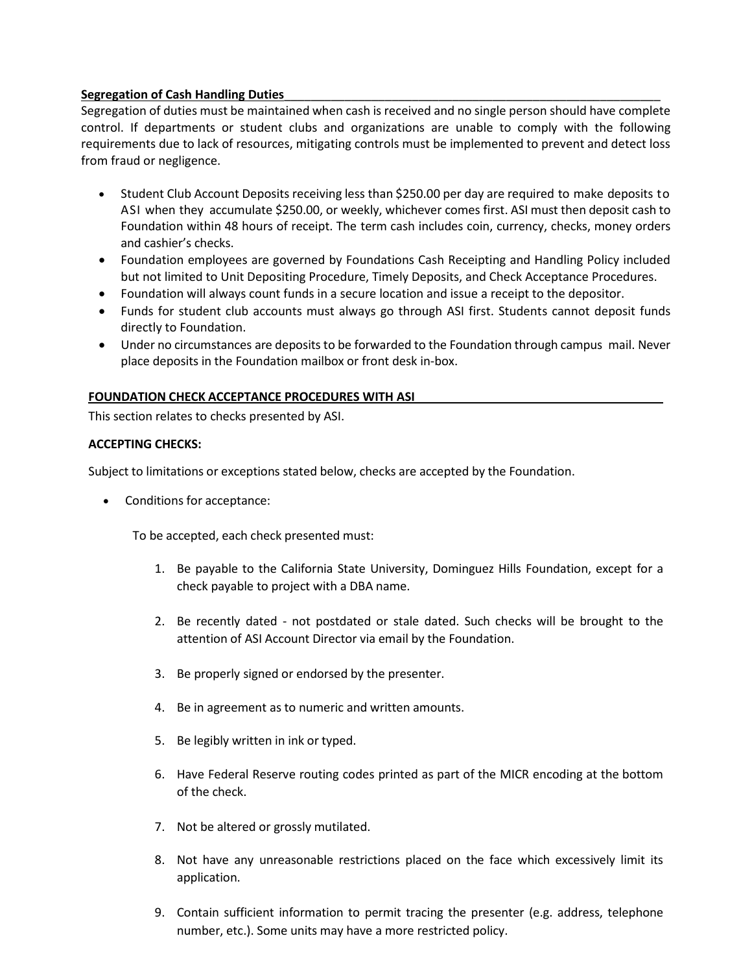## **Segregation of Cash Handling Duties**\_\_\_\_\_\_\_\_\_\_\_\_\_\_\_\_\_\_\_\_\_\_\_\_\_\_\_\_\_\_\_\_\_\_\_\_\_\_\_\_\_\_\_\_\_\_\_\_\_\_\_\_\_\_\_\_

Segregation of duties must be maintained when cash is received and no single person should have complete control. If departments or student clubs and organizations are unable to comply with the following requirements due to lack of resources, mitigating controls must be implemented to prevent and detect loss from fraud or negligence.

- Student Club Account Deposits receiving less than \$250.00 per day are required to make deposits to ASI when they accumulate \$250.00, or weekly, whichever comes first. ASI must then deposit cash to Foundation within 48 hours of receipt. The term cash includes coin, currency, checks, money orders and cashier's checks.
- Foundation employees are governed by Foundations Cash Receipting and Handling Policy included but not limited to Unit Depositing Procedure, Timely Deposits, and Check Acceptance Procedures.
- Foundation will always count funds in a secure location and issue a receipt to the depositor.
- Funds for student club accounts must always go through ASI first. Students cannot deposit funds directly to Foundation.
- Under no circumstances are deposits to be forwarded to the Foundation through campus mail. Never place deposits in the Foundation mailbox or front desk in-box.

#### **FOUNDATION CHECK ACCEPTANCE PROCEDURES WITH ASI**

This section relates to checks presented by ASI.

#### **ACCEPTING CHECKS:**

Subject to limitations or exceptions stated below, checks are accepted by the Foundation.

• Conditions for acceptance:

To be accepted, each check presented must:

- 1. Be payable to the California State University, Dominguez Hills Foundation, except for a check payable to project with a DBA name.
- 2. Be recently dated not postdated or stale dated. Such checks will be brought to the attention of ASI Account Director via email by the Foundation.
- 3. Be properly signed or endorsed by the presenter.
- 4. Be in agreement as to numeric and written amounts.
- 5. Be legibly written in ink or typed.
- 6. Have Federal Reserve routing codes printed as part of the MICR encoding at the bottom of the check.
- 7. Not be altered or grossly mutilated.
- 8. Not have any unreasonable restrictions placed on the face which excessively limit its application.
- 9. Contain sufficient information to permit tracing the presenter (e.g. address, telephone number, etc.). Some units may have a more restricted policy.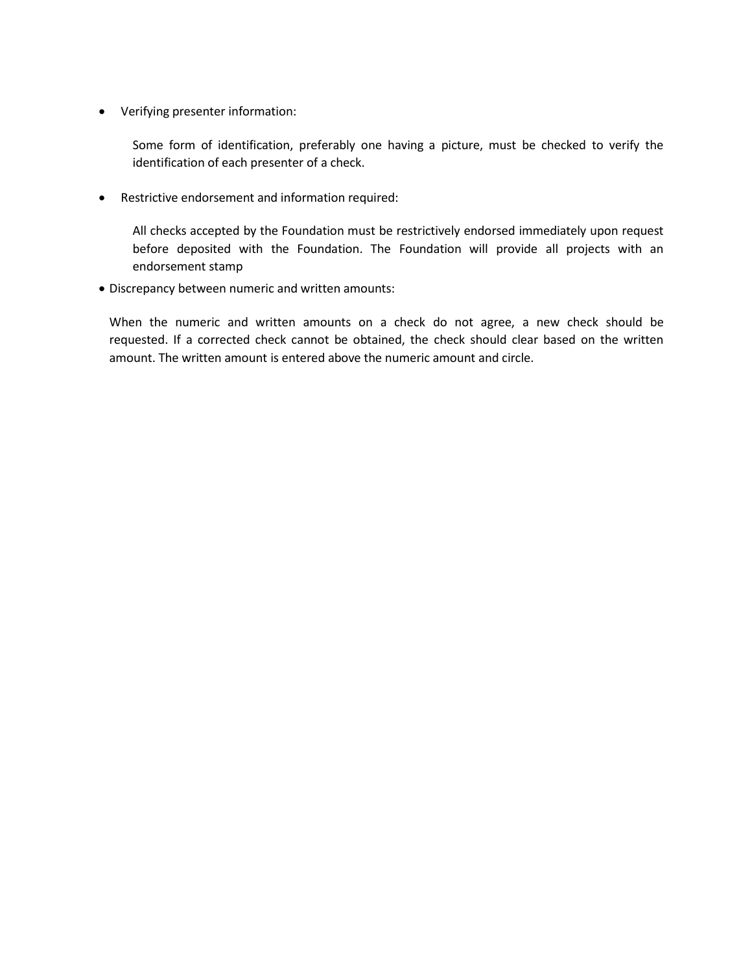• Verifying presenter information:

Some form of identification, preferably one having a picture, must be checked to verify the identification of each presenter of a check.

• Restrictive endorsement and information required:

All checks accepted by the Foundation must be restrictively endorsed immediately upon request before deposited with the Foundation. The Foundation will provide all projects with an endorsement stamp

• Discrepancy between numeric and written amounts:

When the numeric and written amounts on a check do not agree, a new check should be requested. If a corrected check cannot be obtained, the check should clear based on the written amount. The written amount is entered above the numeric amount and circle.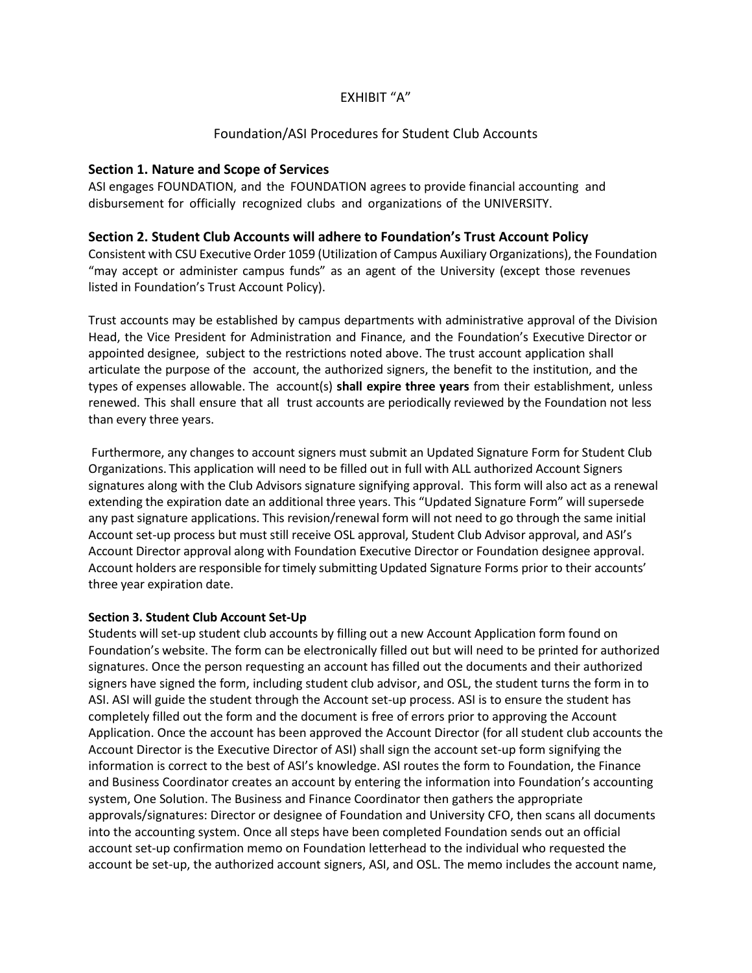# EXHIBIT "A"

## Foundation/ASI Procedures for Student Club Accounts

### **Section 1. Nature and Scope of Services**

ASI engages FOUNDATION, and the FOUNDATION agrees to provide financial accounting and disbursement for officially recognized clubs and organizations of the UNIVERSITY.

### **Section 2. Student Club Accounts will adhere to Foundation's Trust Account Policy**

Consistent with CSU Executive Order 1059 (Utilization of Campus Auxiliary Organizations), the Foundation "may accept or administer campus funds" as an agent of the University (except those revenues listed in Foundation's Trust Account Policy).

Trust accounts may be established by campus departments with administrative approval of the Division Head, the Vice President for Administration and Finance, and the Foundation's Executive Director or appointed designee, subject to the restrictions noted above. The trust account application shall articulate the purpose of the account, the authorized signers, the benefit to the institution, and the types of expenses allowable. The account(s) **shall expire three years** from their establishment, unless renewed. This shall ensure that all trust accounts are periodically reviewed by the Foundation not less than every three years.

Furthermore, any changes to account signers must submit an Updated Signature Form for Student Club Organizations. This application will need to be filled out in full with ALL authorized Account Signers signatures along with the Club Advisors signature signifying approval. This form will also act as a renewal extending the expiration date an additional three years. This "Updated Signature Form" will supersede any past signature applications. This revision/renewal form will not need to go through the same initial Account set-up process but must still receive OSL approval, Student Club Advisor approval, and ASI's Account Director approval along with Foundation Executive Director or Foundation designee approval. Account holders are responsible fortimely submitting Updated Signature Forms prior to their accounts' three year expiration date.

#### **Section 3. Student Club Account Set-Up**

Students will set-up student club accounts by filling out a new Account Application form found on Foundation's website. The form can be electronically filled out but will need to be printed for authorized signatures. Once the person requesting an account has filled out the documents and their authorized signers have signed the form, including student club advisor, and OSL, the student turns the form in to ASI. ASI will guide the student through the Account set-up process. ASI is to ensure the student has completely filled out the form and the document is free of errors prior to approving the Account Application. Once the account has been approved the Account Director (for all student club accounts the Account Director is the Executive Director of ASI) shall sign the account set-up form signifying the information is correct to the best of ASI's knowledge. ASI routes the form to Foundation, the Finance and Business Coordinator creates an account by entering the information into Foundation's accounting system, One Solution. The Business and Finance Coordinator then gathers the appropriate approvals/signatures: Director or designee of Foundation and University CFO, then scans all documents into the accounting system. Once all steps have been completed Foundation sends out an official account set-up confirmation memo on Foundation letterhead to the individual who requested the account be set-up, the authorized account signers, ASI, and OSL. The memo includes the account name,